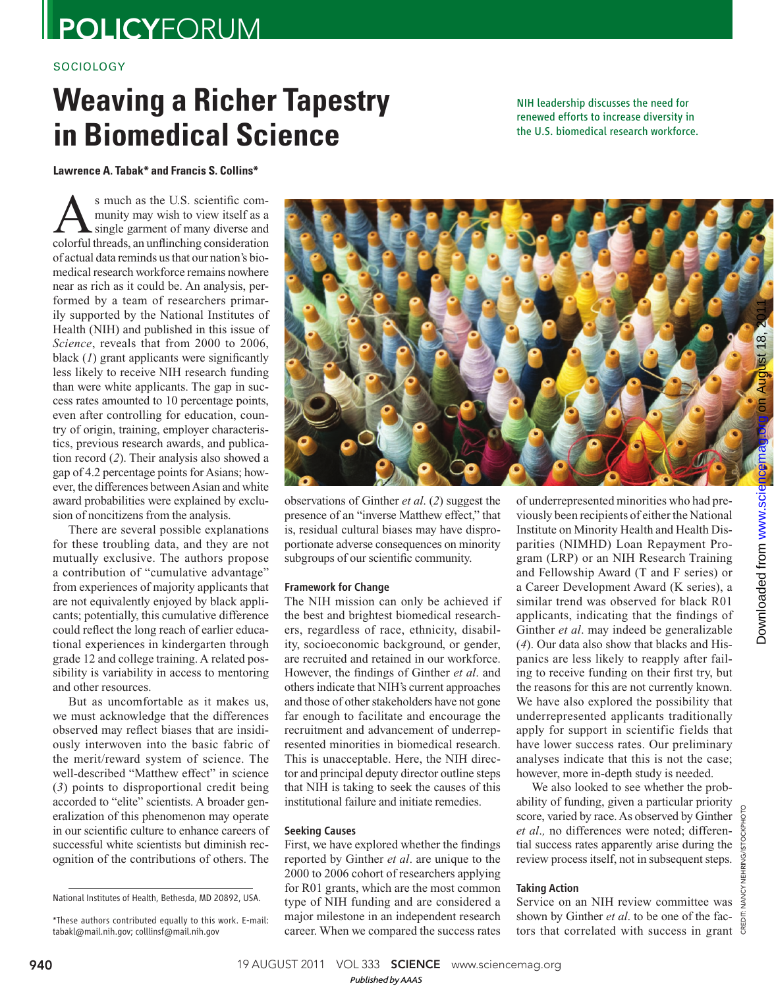## **POLICYFORUM**

## **SOCIOLOGY**

# **Weaving a Richer Tapestry in Biomedical Science**

NIH leadership discusses the need for renewed efforts to increase diversity in the U.S. biomedical research workforce.

Lawrence A. Tabak\* and Francis S. Collins<sup>\*</sup>

s much as the U.S. scientific com-<br>munity may wish to view itself as a<br>colorful threads, an unflinching consideration munity may wish to view itself as a single garment of many diverse and colorful threads, an unflinching consideration of actual data reminds us that our nation's biomedical research workforce remains nowhere near as rich as it could be. An analysis, performed by a team of researchers primarily supported by the National Institutes of Health (NIH) and published in this issue of *Science*, reveals that from 2000 to 2006, black  $(1)$  grant applicants were significantly less likely to receive NIH research funding than were white applicants. The gap in success rates amounted to 10 percentage points, even after controlling for education, country of origin, training, employer characteristics, previous research awards, and publication record (2). Their analysis also showed a gap of 4.2 percentage points for Asians; however, the differences between Asian and white award probabilities were explained by exclusion of noncitizens from the analysis.

There are several possible explanations for these troubling data, and they are not mutually exclusive. The authors propose a contribution of "cumulative advantage" from experiences of majority applicants that are not equivalently enjoyed by black applicants; potentially, this cumulative difference could reflect the long reach of earlier educational experiences in kindergarten through grade 12 and college training. A related possibility is variability in access to mentoring and other resources.

But as uncomfortable as it makes us, we must acknowledge that the differences observed may reflect biases that are insidiously interwoven into the basic fabric of the merit/reward system of science. The well-described "Matthew effect" in science ( *3*) points to disproportional credit being accorded to "elite" scientists. A broader generalization of this phenomenon may operate in our scientific culture to enhance careers of successful white scientists but diminish recognition of the contributions of others. The



observations of Ginther *et al*. (*2*) suggest the presence of an "inverse Matthew effect," that is, residual cultural biases may have disproportionate adverse consequences on minority subgroups of our scientific community.

## Framework for Change

The NIH mission can only be achieved if the best and brightest biomedical researchers, regardless of race, ethnicity, disability, socioeconomic background, or gender, are recruited and retained in our workforce. However, the findings of Ginther *et al.* and others indicate that NIH's current approaches and those of other stakeholders have not gone far enough to facilitate and encourage the recruitment and advancement of underrepresented minorities in biomedical research. This is unacceptable. Here, the NIH director and principal deputy director outline steps that NIH is taking to seek the causes of this institutional failure and initiate remedies.

## Seeking Causes

First, we have explored whether the findings reported by Ginther *et al*. are unique to the 2000 to 2006 cohort of researchers applying for R01 grants, which are the most common type of NIH funding and are considered a major milestone in an independent research career. When we compared the success rates

of underrepresented minorities who had previously been recipients of either the National Institute on Minority Health and Health Disparities (NIMHD) Loan Repayment Program (LRP) or an NIH Research Training and Fellowship Award (T and F series) or a Career Development Award (K series), a similar trend was observed for black R01 applicants, indicating that the findings of Ginther *et al*. may indeed be generalizable ( *4*). Our data also show that blacks and Hispanics are less likely to reapply after failing to receive funding on their first try, but the reasons for this are not currently known. We have also explored the possibility that underrepresented applicants traditionally apply for support in scientific fields that have lower success rates. Our preliminary analyses indicate that this is not the case; however, more in-depth study is needed.

We also looked to see whether the probability of funding, given a particular priority score, varied by race. As observed by Ginther *et al*.*,* no differences were noted; differential success rates apparently arise during the review process itself, not in subsequent steps.

## Taking Action

Service on an NIH review committee was  $\frac{3}{5}$ shown by Ginther *et al*. to be one of the factors that correlated with success in grant

CREDIT: NANCY NEHRING/ISTOCKPHOTO

**940** 19 AUGUST 2011 VOL 333 **SCIENCE** www.sciencemag.org

*Published byAAAS*

National Institutes of Health, Bethesda, MD 20892, USA.

<sup>\*</sup>These authors contributed equally to this work. E-mail: tabakl@mail.nih.gov; colllinsf@mail.nih.gov